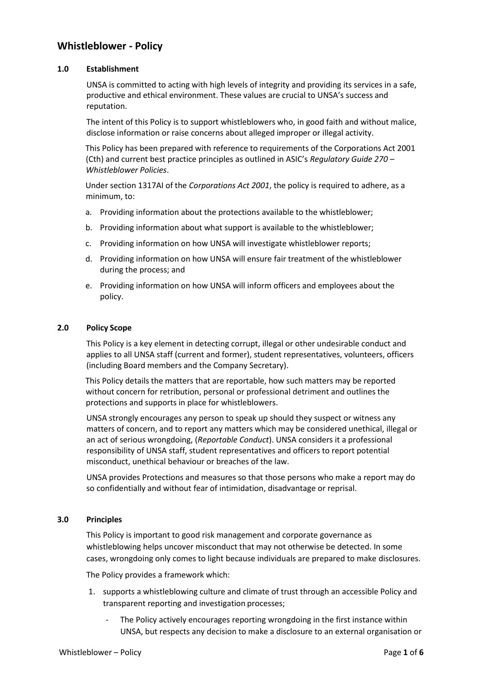# **Whistleblower - Policy**

#### **1.0 Establishment**

UNSA is committed to acting with high levels of integrity and providing its services in a safe, productive and ethical environment. These values are crucial to UNSA's success and reputation.

The intent of this Policy is to support whistleblowers who, in good faith and without malice, disclose information or raise concerns about alleged improper or illegal activity.

This Policy has been prepared with reference to requirements of the Corporations Act 2001 (Cth) and current best practice principles as outlined in ASIC's *Regulatory Guide 270 – Whistleblower Policies*.

Under section 1317AI of the *Corporations Act 2001*, the policy is required to adhere, as a minimum, to:

- a. Providing information about the protections available to the whistleblower;
- b. Providing information about what support is available to the whistleblower;
- c. Providing information on how UNSA will investigate whistleblower reports;
- d. Providing information on how UNSA will ensure fair treatment of the whistleblower during the process; and
- e. Providing information on how UNSA will inform officers and employees about the policy.

#### **2.0 Policy Scope**

This Policy is a key element in detecting corrupt, illegal or other undesirable conduct and applies to all UNSA staff (current and former), student representatives, volunteers, officers (including Board members and the Company Secretary).

This Policy details the matters that are reportable, how such matters may be reported without concern for retribution, personal or professional detriment and outlines the protections and supports in place for whistleblowers.

UNSA strongly encourages any person to speak up should they suspect or witness any matters of concern, and to report any matters which may be considered unethical, illegal or an act of serious wrongdoing, (*Reportable Conduct*). UNSA considers it a professional responsibility of UNSA staff, student representatives and officers to report potential misconduct, unethical behaviour or breaches of the law.

UNSA provides Protections and measures so that those persons who make a report may do so confidentially and without fear of intimidation, disadvantage or reprisal.

#### **3.0 Principles**

This Policy is important to good risk management and corporate governance as whistleblowing helps uncover misconduct that may not otherwise be detected. In some cases, wrongdoing only comes to light because individuals are prepared to make disclosures.

The Policy provides a framework which:

- 1. supports a whistleblowing culture and climate of trust through an accessible Policy and transparent reporting and investigation processes;
	- The Policy actively encourages reporting wrongdoing in the first instance within UNSA, but respects any decision to make a disclosure to an external organisation or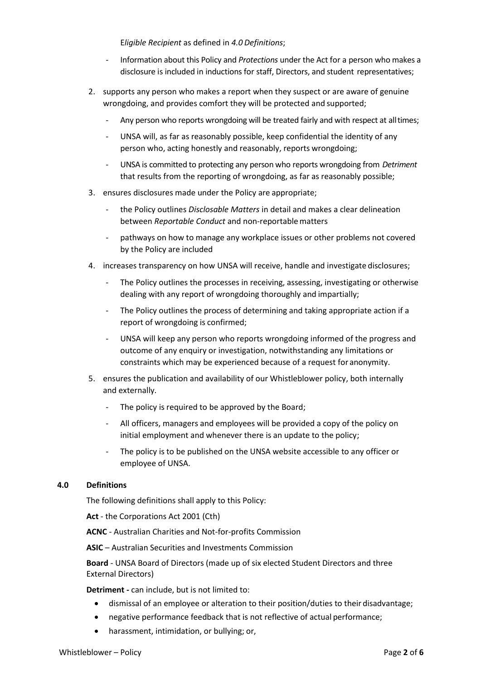E*ligible Recipient* as defined in *4.0 Definitions*;

- Information about this Policy and *Protections* under the Act for a person who makes a disclosure is included in inductions for staff, Directors, and student representatives;
- 2. supports any person who makes a report when they suspect or are aware of genuine wrongdoing, and provides comfort they will be protected and supported;
	- Any person who reports wrongdoing will be treated fairly and with respect at all times;
	- UNSA will, as far as reasonably possible, keep confidential the identity of any person who, acting honestly and reasonably, reports wrongdoing;
	- UNSA is committed to protecting any person who reports wrongdoing from *Detriment* that results from the reporting of wrongdoing, as far as reasonably possible;
- 3. ensures disclosures made under the Policy are appropriate;
	- the Policy outlines *Disclosable Matters* in detail and makes a clear delineation between *Reportable Conduct* and non-reportablematters
	- pathways on how to manage any workplace issues or other problems not covered by the Policy are included
- 4. increases transparency on how UNSA will receive, handle and investigate disclosures;
	- The Policy outlines the processes in receiving, assessing, investigating or otherwise dealing with any report of wrongdoing thoroughly and impartially;
	- The Policy outlines the process of determining and taking appropriate action if a report of wrongdoing is confirmed;
	- UNSA will keep any person who reports wrongdoing informed of the progress and outcome of any enquiry or investigation, notwithstanding any limitations or constraints which may be experienced because of a request for anonymity.
- 5. ensures the publication and availability of our Whistleblower policy, both internally and externally.
	- The policy is required to be approved by the Board;
	- All officers, managers and employees will be provided a copy of the policy on initial employment and whenever there is an update to the policy;
	- The policy is to be published on the UNSA website accessible to any officer or employee of UNSA.

#### **4.0 Definitions**

The following definitions shall apply to this Policy:

**Act** - the Corporations Act 2001 (Cth)

**ACNC** - Australian Charities and Not-for-profits Commission

**ASIC** – Australian Securities and Investments Commission

**Board** - UNSA Board of Directors (made up of six elected Student Directors and three External Directors)

**Detriment -** can include, but is not limited to:

- dismissal of an employee or alteration to their position/duties to their disadvantage;
- negative performance feedback that is not reflective of actual performance;
- harassment, intimidation, or bullying; or,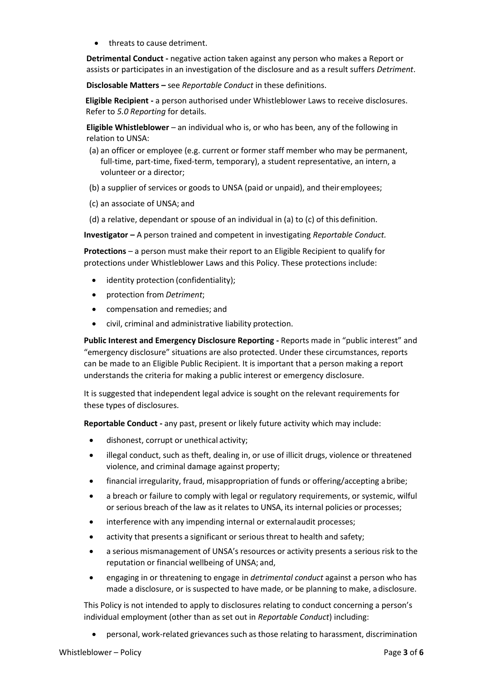• threats to cause detriment.

**Detrimental Conduct -** negative action taken against any person who makes a Report or assists or participates in an investigation of the disclosure and as a result suffers *Detriment*.

**Disclosable Matters –** see *Reportable Conduct* in these definitions.

**Eligible Recipient -** a person authorised under Whistleblower Laws to receive disclosures. Refer to *5.0 Reporting* for details.

**Eligible Whistleblower** – an individual who is, or who has been, any of the following in relation to UNSA:

- (a) an officer or employee (e.g. current or former staff member who may be permanent, full-time, part-time, fixed-term, temporary), a student representative, an intern, a volunteer or a director;
- (b) a supplier of services or goods to UNSA (paid or unpaid), and theiremployees;
- (c) an associate of UNSA; and
- (d) a relative, dependant or spouse of an individual in (a) to (c) of this definition.

**Investigator –** A person trained and competent in investigating *Reportable Conduct.*

**Protections** – a person must make their report to an Eligible Recipient to qualify for protections under Whistleblower Laws and this Policy. These protections include:

- identity protection (confidentiality);
- protection from *Detriment*;
- compensation and remedies; and
- civil, criminal and administrative liability protection.

**Public Interest and Emergency Disclosure Reporting -** Reports made in "public interest" and "emergency disclosure" situations are also protected. Under these circumstances, reports can be made to an Eligible Public Recipient. It is important that a person making a report understands the criteria for making a public interest or emergency disclosure.

It is suggested that independent legal advice is sought on the relevant requirements for these types of disclosures.

**Reportable Conduct -** any past, present or likely future activity which may include:

- dishonest, corrupt or unethical activity;
- illegal conduct, such as theft, dealing in, or use of illicit drugs, violence or threatened violence, and criminal damage against property;
- financial irregularity, fraud, misappropriation of funds or offering/accepting abribe;
- a breach or failure to comply with legal or regulatory requirements, or systemic, wilful or serious breach of the law as it relates to UNSA, its internal policies or processes;
- interference with any impending internal or external audit processes;
- activity that presents a significant or serious threat to health and safety;
- a serious mismanagement of UNSA's resources or activity presents a serious risk to the reputation or financial wellbeing of UNSA; and,
- engaging in or threatening to engage in *detrimental conduct* against a person who has made a disclosure, or is suspected to have made, or be planning to make, adisclosure.

This Policy is not intended to apply to disclosures relating to conduct concerning a person's individual employment (other than as set out in *Reportable Conduct*) including:

• personal, work-related grievances such asthose relating to harassment, discrimination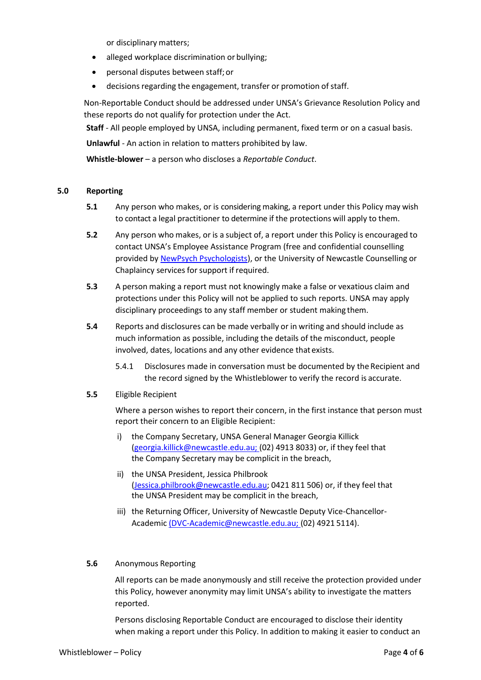or disciplinary matters;

- alleged workplace discrimination or bullying;
- personal disputes between staff;or
- decisions regarding the engagement, transfer or promotion of staff.

Non-Reportable Conduct should be addressed under UNSA's Grievance Resolution Policy and these reports do not qualify for protection under the Act.

**Staff** - All people employed by UNSA, including permanent, fixed term or on a casual basis.

**Unlawful** - An action in relation to matters prohibited by law.

**Whistle-blower** – a person who discloses a *Reportable Conduct*.

#### **5.0 Reporting**

- **5.1** Any person who makes, or is considering making, a report under this Policy may wish to contact a legal practitioner to determine if the protections will apply to them.
- **5.2** Any person who makes, or is a subject of, a report under this Policy is encouraged to contact UNSA's Employee Assistance Program (free and confidential counselling provided b[y NewPsych Psychologists\)](https://www.newpsych.com.au/eap), or the University of Newcastle Counselling or Chaplaincy services for support if required.
- **5.3** A person making a report must not knowingly make a false or vexatious claim and protections under this Policy will not be applied to such reports. UNSA may apply disciplinary proceedings to any staff member or student making them.
- **5.4** Reports and disclosures can be made verbally or in writing and should include as much information as possible, including the details of the misconduct, people involved, dates, locations and any other evidence that exists.
	- 5.4.1 Disclosures made in conversation must be documented by the Recipient and the record signed by the Whistleblower to verify the record is accurate.
- **5.5** Eligible Recipient

Where a person wishes to report their concern, in the first instance that person must report their concern to an Eligible Recipient:

- i) the Company Secretary, UNSA General Manager Georgia Killick [\(georgia.killick@newcastle.edu.au; \(](mailto:georgia.killick@newcastle.edu.au;)02) 4913 8033) or, if they feel that the Company Secretary may be complicit in the breach,
- ii) the UNSA President, Jessica Philbrook [\(Jessica.philbrook@newcastle.edu.au;](mailto:Jessica.philbrook@newcastle.edu.au) 0421 811 506) or, if they feel that the UNSA President may be complicit in the breach,
- iii) the Returning Officer, University of Newcastle Deputy Vice-Chancellor-Academic [\(DVC-Academic@newcastle.edu.au; \(](mailto:(DVC-Academic@newcastle.edu.au;)02) 4921 5114).

#### **5.6** Anonymous Reporting

All reports can be made anonymously and still receive the protection provided under this Policy, however anonymity may limit UNSA's ability to investigate the matters reported.

Persons disclosing Reportable Conduct are encouraged to disclose their identity when making a report under this Policy. In addition to making it easier to conduct an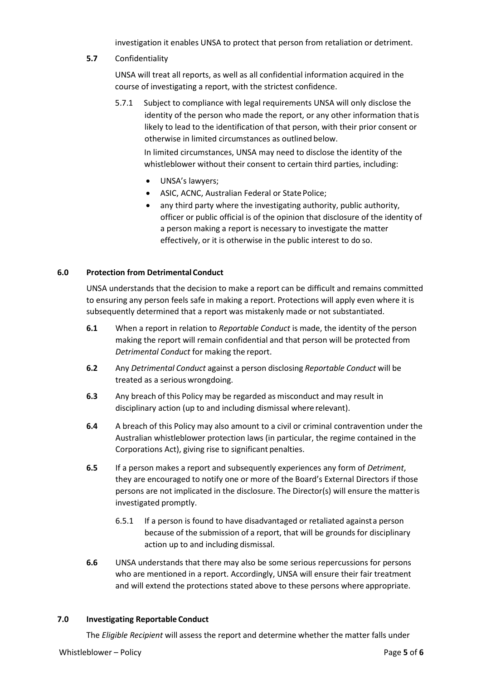investigation it enables UNSA to protect that person from retaliation or detriment.

# **5.7** Confidentiality

UNSA will treat all reports, as well as all confidential information acquired in the course of investigating a report, with the strictest confidence.

5.7.1 Subject to compliance with legal requirements UNSA will only disclose the identity of the person who made the report, or any other information thatis likely to lead to the identification of that person, with their prior consent or otherwise in limited circumstances as outlined below.

In limited circumstances, UNSA may need to disclose the identity of the whistleblower without their consent to certain third parties, including:

- UNSA's lawyers;
- ASIC, ACNC, Australian Federal or State Police;
- any third party where the investigating authority, public authority, officer or public official is of the opinion that disclosure of the identity of a person making a report is necessary to investigate the matter effectively, or it is otherwise in the public interest to do so.

# **6.0 Protection from Detrimental Conduct**

UNSA understands that the decision to make a report can be difficult and remains committed to ensuring any person feels safe in making a report. Protections will apply even where it is subsequently determined that a report was mistakenly made or not substantiated.

- **6.1** When a report in relation to *Reportable Conduct* is made, the identity of the person making the report will remain confidential and that person will be protected from *Detrimental Conduct* for making the report.
- **6.2** Any *Detrimental Conduct* against a person disclosing *Reportable Conduct* will be treated as a serious wrongdoing.
- **6.3** Any breach of this Policy may be regarded as misconduct and may result in disciplinary action (up to and including dismissal where relevant).
- **6.4** A breach of this Policy may also amount to a civil or criminal contravention under the Australian whistleblower protection laws (in particular, the regime contained in the Corporations Act), giving rise to significant penalties.
- **6.5** If a person makes a report and subsequently experiences any form of *Detriment*, they are encouraged to notify one or more of the Board's External Directors if those persons are not implicated in the disclosure. The Director(s) will ensure the matteris investigated promptly.
	- 6.5.1 If a person is found to have disadvantaged or retaliated againsta person because of the submission of a report, that will be grounds for disciplinary action up to and including dismissal.
- **6.6** UNSA understands that there may also be some serious repercussions for persons who are mentioned in a report. Accordingly, UNSA will ensure their fair treatment and will extend the protections stated above to these persons where appropriate.

#### **7.0 Investigating Reportable Conduct**

The *Eligible Recipient* will assess the report and determine whether the matter falls under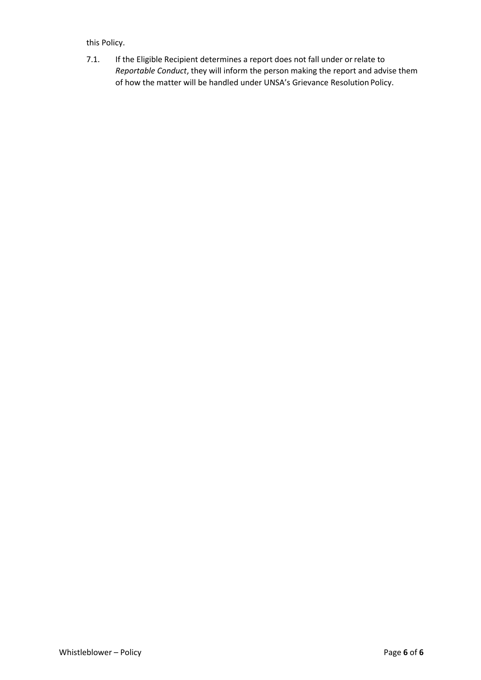# this Policy.

7.1. If the Eligible Recipient determines a report does not fall under orrelate to *Reportable Conduct*, they will inform the person making the report and advise them of how the matter will be handled under UNSA's Grievance Resolution Policy.